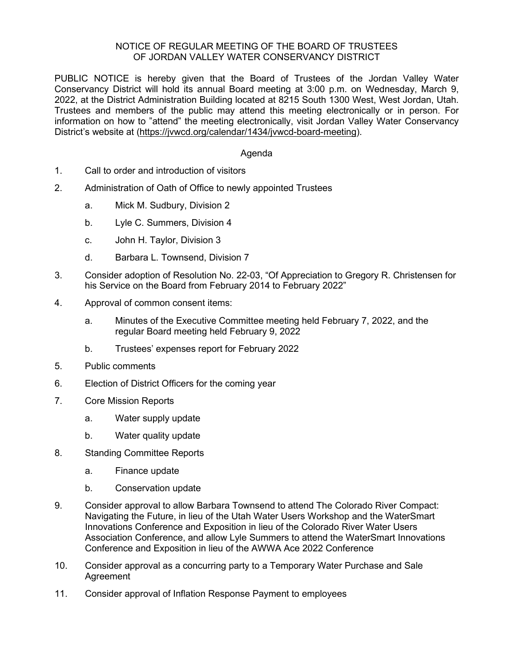## NOTICE OF REGULAR MEETING OF THE BOARD OF TRUSTEES OF JORDAN VALLEY WATER CONSERVANCY DISTRICT

PUBLIC NOTICE is hereby given that the Board of Trustees of the Jordan Valley Water Conservancy District will hold its annual Board meeting at 3:00 p.m. on Wednesday, March 9, 2022, at the District Administration Building located at 8215 South 1300 West, West Jordan, Utah. Trustees and members of the public may attend this meeting electronically or in person. For information on how to "attend" the meeting electronically, visit Jordan Valley Water Conservancy District's website at [\(https://jvwcd.org/calendar/1434/jvwcd-board-meeting\)](https://jvwcd.org/calendar/1434/jvwcd-board-meeting).

## Agenda

- 1. Call to order and introduction of visitors
- 2. Administration of Oath of Office to newly appointed Trustees
	- a. Mick M. Sudbury, Division 2
	- b. Lyle C. Summers, Division 4
	- c. John H. Taylor, Division 3
	- d. Barbara L. Townsend, Division 7
- 3. Consider adoption of Resolution No. 22-03, "Of Appreciation to Gregory R. Christensen for his Service on the Board from February 2014 to February 2022"
- 4. Approval of common consent items:
	- a. Minutes of the Executive Committee meeting held February 7, 2022, and the regular Board meeting held February 9, 2022
	- b. Trustees' expenses report for February 2022
- 5. Public comments
- 6. Election of District Officers for the coming year
- 7. Core Mission Reports
	- a. Water supply update
	- b. Water quality update
- 8. Standing Committee Reports
	- a. Finance update
	- b. Conservation update
- 9. Consider approval to allow Barbara Townsend to attend The Colorado River Compact: Navigating the Future, in lieu of the Utah Water Users Workshop and the WaterSmart Innovations Conference and Exposition in lieu of the Colorado River Water Users Association Conference, and allow Lyle Summers to attend the WaterSmart Innovations Conference and Exposition in lieu of the AWWA Ace 2022 Conference
- 10. Consider approval as a concurring party to a Temporary Water Purchase and Sale **Agreement**
- 11. Consider approval of Inflation Response Payment to employees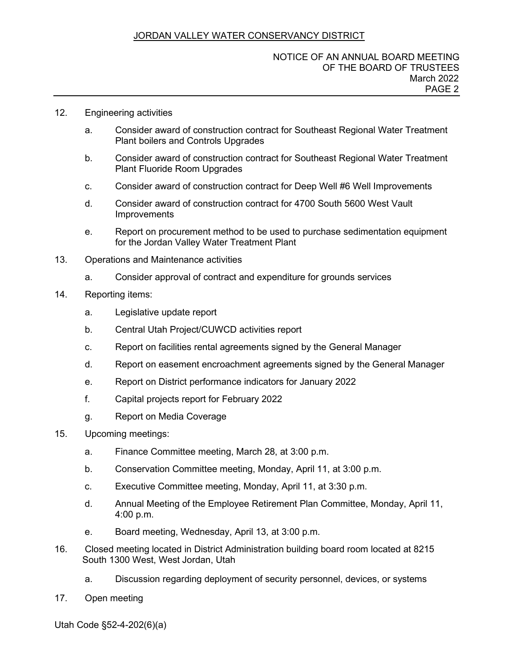# JORDAN VALLEY WATER CONSERVANCY DISTRICT

#### 12. Engineering activities

- a. Consider award of construction contract for Southeast Regional Water Treatment Plant boilers and Controls Upgrades
- b. Consider award of construction contract for Southeast Regional Water Treatment Plant Fluoride Room Upgrades
- c. Consider award of construction contract for Deep Well #6 Well Improvements
- d. Consider award of construction contract for 4700 South 5600 West Vault **Improvements**
- e. Report on procurement method to be used to purchase sedimentation equipment for the Jordan Valley Water Treatment Plant
- 13. Operations and Maintenance activities
	- a. Consider approval of contract and expenditure for grounds services
- 14. Reporting items:
	- a. Legislative update report
	- b. Central Utah Project/CUWCD activities report
	- c. Report on facilities rental agreements signed by the General Manager
	- d. Report on easement encroachment agreements signed by the General Manager
	- e. Report on District performance indicators for January 2022
	- f. Capital projects report for February 2022
	- g. Report on Media Coverage
- 15. Upcoming meetings:
	- a. Finance Committee meeting, March 28, at 3:00 p.m.
	- b. Conservation Committee meeting, Monday, April 11, at 3:00 p.m.
	- c. Executive Committee meeting, Monday, April 11, at 3:30 p.m.
	- d. Annual Meeting of the Employee Retirement Plan Committee, Monday, April 11, 4:00 p.m.
	- e. Board meeting, Wednesday, April 13, at 3:00 p.m.
- 16. Closed meeting located in District Administration building board room located at 8215 South 1300 West, West Jordan, Utah
	- a. Discussion regarding deployment of security personnel, devices, or systems
- 17. Open meeting

Utah Code §52-4-202(6)(a)